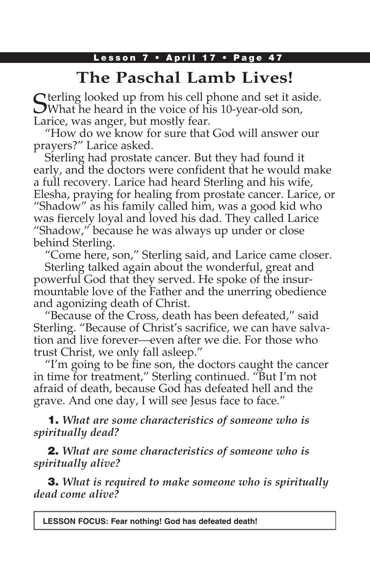# **The Paschal Lamb Lives!**

 $\bigcap$  terling looked up from his cell phone and set it aside. What he heard in the voice of his 10-year-old son, Larice, was anger, but mostly fear.

"How do we know for sure that God will answer our prayers?" Larice asked.

Sterling had prostate cancer. But they had found it early, and the doctors were confident that he would make a full recovery. Larice had heard Sterling and his wife, Elesha, praying for healing from prostate cancer. Larice, or "Shadow" as his family called him, was a good kid who was fiercely loyal and loved his dad. They called Larice "Shadow," because he was always up under or close behind Sterling.

"Come here, son," Sterling said, and Larice came closer. Sterling talked again about the wonderful, great and powerful God that they served. He spoke of the insurmountable love of the Father and the unerring obedience and agonizing death of Christ.

"Because of the Cross, death has been defeated," said Sterling. "Because of Christ's sacrifice, we can have salvation and live forever—even after we die. For those who trust Christ, we only fall asleep."

"I'm going to be fine son, the doctors caught the cancer in time for treatment," Sterling continued. "But I'm not afraid of death, because God has defeated hell and the grave. And one day, I will see Jesus face to face."

1. *What are some characteristics of someone who is spiritually dead?*

2. *What are some characteristics of someone who is spiritually alive?*

3. *What is required to make someone who is spiritually dead come alive?*

**LESSON FOCUS: Fear nothing! God has defeated death!**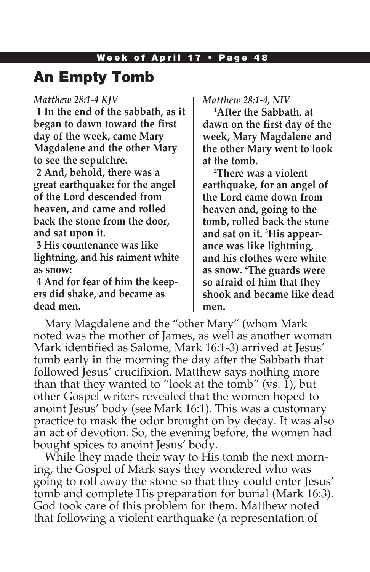## An Empty Tomb

#### *Matthew 28:1-4 KJV*

**1 In the end of the sabbath, as it began to dawn toward the first day of the week, came Mary Magdalene and the other Mary to see the sepulchre.**

**2 And, behold, there was a great earthquake: for the angel of the Lord descended from heaven, and came and rolled back the stone from the door, and sat upon it.**

**3 His countenance was like lightning, and his raiment white as snow:**

**4 And for fear of him the keepers did shake, and became as dead men.**

*Matthew 28:1-4, NIV*

**1 After the Sabbath, at dawn on the first day of the week, Mary Magdalene and the other Mary went to look at the tomb.**

**2 There was a violent earthquake, for an angel of the Lord came down from heaven and, going to the tomb, rolled back the stone and sat on it. 3 His appearance was like lightning, and his clothes were white as snow. 4 The guards were so afraid of him that they shook and became like dead men.**

Mary Magdalene and the "other Mary" (whom Mark noted was the mother of James, as well as another woman Mark identified as Salome, Mark 16:1-3) arrived at Jesus' tomb early in the morning the day after the Sabbath that followed Jesus' crucifixion. Matthew says nothing more than that they wanted to "look at the tomb" (vs.  $\tilde{1}$ ), but other Gospel writers revealed that the women hoped to anoint Jesus' body (see Mark 16:1). This was a customary practice to mask the odor brought on by decay. It was also an act of devotion. So, the evening before, the women had bought spices to anoint Jesus' body.

While they made their way to His tomb the next morning, the Gospel of Mark says they wondered who was going to roll away the stone so that they could enter Jesus' tomb and complete His preparation for burial (Mark 16:3). God took care of this problem for them. Matthew noted that following a violent earthquake (a representation of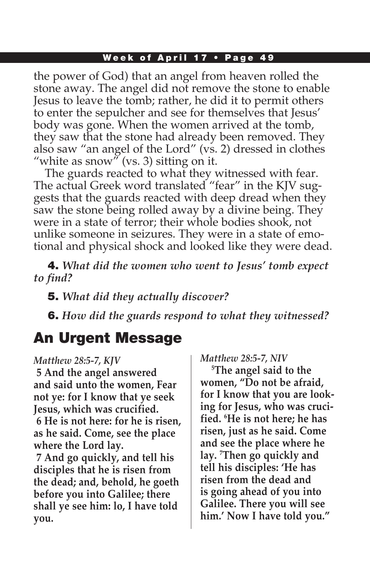### Week of April 17 • Page 49

the power of God) that an angel from heaven rolled the stone away. The angel did not remove the stone to enable Jesus to leave the tomb; rather, he did it to permit others to enter the sepulcher and see for themselves that Jesus' body was gone. When the women arrived at the tomb, they saw that the stone had already been removed. They also saw "an angel of the Lord" (vs. 2) dressed in clothes "white as snow" (vs. 3) sitting on it.

The guards reacted to what they witnessed with fear. The actual Greek word translated "fear" in the KJV suggests that the guards reacted with deep dread when they saw the stone being rolled away by a divine being. They were in a state of terror; their whole bodies shook, not unlike someone in seizures. They were in a state of emotional and physical shock and looked like they were dead.

4. *What did the women who went to Jesus' tomb expect to find?* 

5. *What did they actually discover?*

6. *How did the guards respond to what they witnessed?*

## An Urgent Message

#### *Matthew 28:5-7, KJV*

**5 And the angel answered and said unto the women, Fear not ye: for I know that ye seek Jesus, which was crucified.**

**6 He is not here: for he is risen, as he said. Come, see the place where the Lord lay.**

**7 And go quickly, and tell his disciples that he is risen from the dead; and, behold, he goeth before you into Galilee; there shall ye see him: lo, I have told you.**

*Matthew 28:5-7, NIV*

**5 The angel said to the women, "Do not be afraid, for I know that you are looking for Jesus, who was crucified. 6 He is not here; he has risen, just as he said. Come and see the place where he lay. 7 Then go quickly and tell his disciples: 'He has risen from the dead and is going ahead of you into Galilee. There you will see him.' Now I have told you."**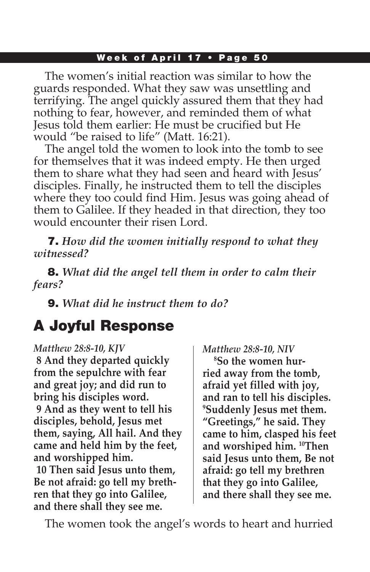### Week of April 17 • Page 50

The women's initial reaction was similar to how the guards responded. What they saw was unsettling and terrifying. The angel quickly assured them that they had nothing to fear, however, and reminded them of what Jesus told them earlier: He must be crucified but He would "be raised to life" (Matt. 16:21).

The angel told the women to look into the tomb to see for themselves that it was indeed empty. He then urged them to share what they had seen and heard with Jesus' disciples. Finally, he instructed them to tell the disciples where they too could find Him. Jesus was going ahead of them to Galilee. If they headed in that direction, they too would encounter their risen Lord.

7. *How did the women initially respond to what they witnessed?*

8. *What did the angel tell them in order to calm their fears?*

9. *What did he instruct them to do?*

# A Joyful Response

#### *Matthew 28:8-10, KJV*

**8 And they departed quickly from the sepulchre with fear and great joy; and did run to bring his disciples word. 9 And as they went to tell his disciples, behold, Jesus met them, saying, All hail. And they came and held him by the feet, and worshipped him.**

**10 Then said Jesus unto them, Be not afraid: go tell my brethren that they go into Galilee, and there shall they see me.**

*Matthew 28:8-10, NIV* **8 So the women hurried away from the tomb, afraid yet filled with joy, and ran to tell his disciples. 9 Suddenly Jesus met them. "Greetings," he said. They came to him, clasped his feet and worshiped him. 10Then said Jesus unto them, Be not afraid: go tell my brethren that they go into Galilee, and there shall they see me.**

The women took the angel's words to heart and hurried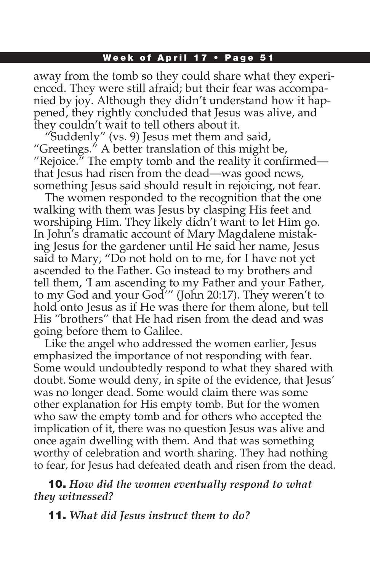### Week of April 17 • Page 51

away from the tomb so they could share what they experienced. They were still afraid; but their fear was accompanied by joy. Although they didn't understand how it happened, they rightly concluded that Jesus was alive, and they couldn't wait to tell others about it.

"Suddenly" (vs. 9) Jesus met them and said, "Greetings." A better translation of this might be, "Rejoice." The empty tomb and the reality it confirmed that Jesus had risen from the dead—was good news, something Jesus said should result in rejoicing, not fear.

The women responded to the recognition that the one walking with them was Jesus by clasping His feet and worshiping Him. They likely didn't want to let Him go. In John's dramatic account of Mary Magdalene mistaking Jesus for the gardener until He said her name, Jesus said to Mary, "Do not hold on to me, for I have not yet ascended to the Father. Go instead to my brothers and tell them, 'I am ascending to my Father and your Father, to my God and your God'" (John 20:17). They weren't to hold onto Jesus as if He was there for them alone, but tell His "brothers" that He had risen from the dead and was going before them to Galilee.

Like the angel who addressed the women earlier, Jesus emphasized the importance of not responding with fear. Some would undoubtedly respond to what they shared with doubt. Some would deny, in spite of the evidence, that Jesus' was no longer dead. Some would claim there was some other explanation for His empty tomb. But for the women who saw the empty tomb and for others who accepted the implication of it, there was no question Jesus was alive and once again dwelling with them. And that was something worthy of celebration and worth sharing. They had nothing to fear, for Jesus had defeated death and risen from the dead.

10. *How did the women eventually respond to what they witnessed?*

11. *What did Jesus instruct them to do?*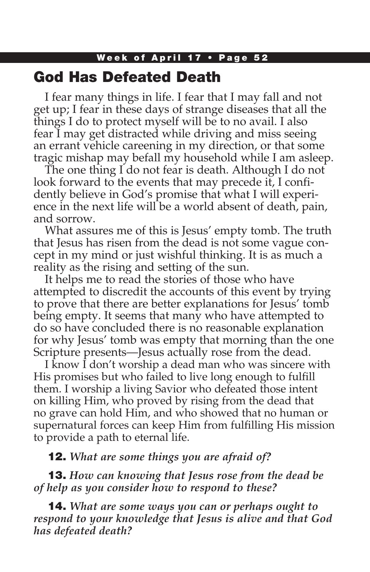## God Has Defeated Death

I fear many things in life. I fear that I may fall and not get up; I fear in these days of strange diseases that all the things I do to protect myself will be to no avail. I also fear I may get distracted while driving and miss seeing an errant vehicle careening in my direction, or that some tragic mishap may befall my household while I am asleep.

The one thing I do not fear is death. Although I do not look forward to the events that may precede it, I confidently believe in God's promise that what I will experience in the next life will be a world absent of death, pain, and sorrow.

What assures me of this is Jesus' empty tomb. The truth that Jesus has risen from the dead is not some vague concept in my mind or just wishful thinking. It is as much a reality as the rising and setting of the sun.

It helps me to read the stories of those who have attempted to discredit the accounts of this event by trying to prove that there are better explanations for Jesus' tomb being empty. It seems that many who have attempted to do so have concluded there is no reasonable explanation for why Jesus' tomb was empty that morning than the one Scripture presents—Jesus actually rose from the dead.

I know I don't worship a dead man who was sincere with His promises but who failed to live long enough to fulfill them. I worship a living Savior who defeated those intent on killing Him, who proved by rising from the dead that no grave can hold Him, and who showed that no human or supernatural forces can keep Him from fulfilling His mission to provide a path to eternal life.

### 12. *What are some things you are afraid of?*

13. *How can knowing that Jesus rose from the dead be of help as you consider how to respond to these?*

14. *What are some ways you can or perhaps ought to respond to your knowledge that Jesus is alive and that God has defeated death?*